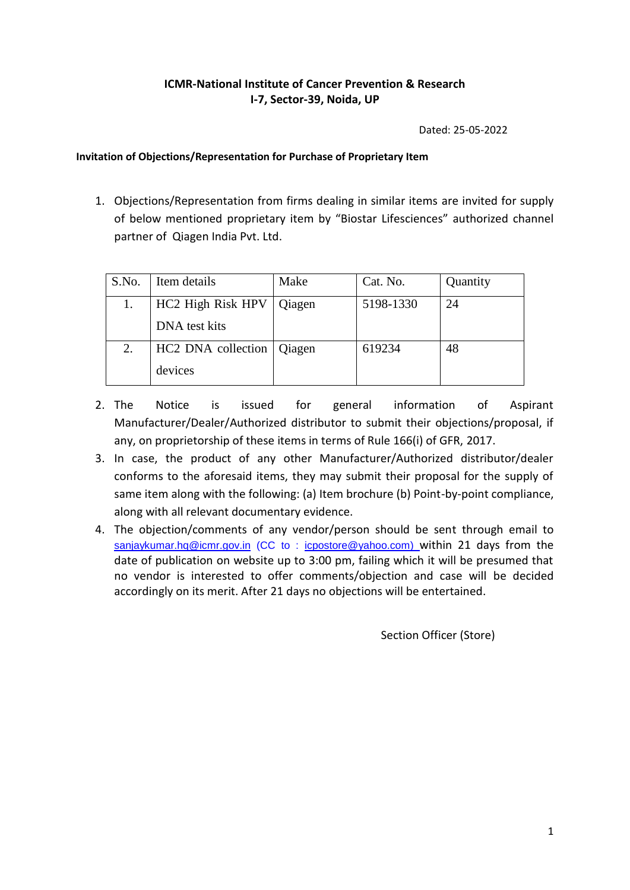## **ICMR-National Institute of Cancer Prevention & Research I-7, Sector-39, Noida, UP**

Dated: 25-05-2022

#### **Invitation of Objections/Representation for Purchase of Proprietary Item**

1. Objections/Representation from firms dealing in similar items are invited for supply of below mentioned proprietary item by "Biostar Lifesciences" authorized channel partner of Qiagen India Pvt. Ltd.

| S.No. | Item details       | Make   | Cat. No.  | Quantity |
|-------|--------------------|--------|-----------|----------|
|       | HC2 High Risk HPV  | Qiagen | 5198-1330 | 24       |
|       | DNA test kits      |        |           |          |
| 2.    | HC2 DNA collection | Qiagen | 619234    | 48       |
|       | devices            |        |           |          |

- 2. The Notice is issued for general information of Aspirant Manufacturer/Dealer/Authorized distributor to submit their objections/proposal, if any, on proprietorship of these items in terms of Rule 166(i) of GFR, 2017.
- 3. In case, the product of any other Manufacturer/Authorized distributor/dealer conforms to the aforesaid items, they may submit their proposal for the supply of same item along with the following: (a) Item brochure (b) Point-by-point compliance, along with all relevant documentary evidence.
- 4. The objection/comments of any vendor/person should be sent through email to [sanjaykumar.hq@icmr.gov.in](mailto:sanjaykumar.hq@icmr.gov.in) (CC to : [icpostore@yahoo.com\)](mailto:icpostore@yahoo.com) within 21 days from the date of publication on website up to 3:00 pm, failing which it will be presumed that no vendor is interested to offer comments/objection and case will be decided accordingly on its merit. After 21 days no objections will be entertained.

Section Officer (Store)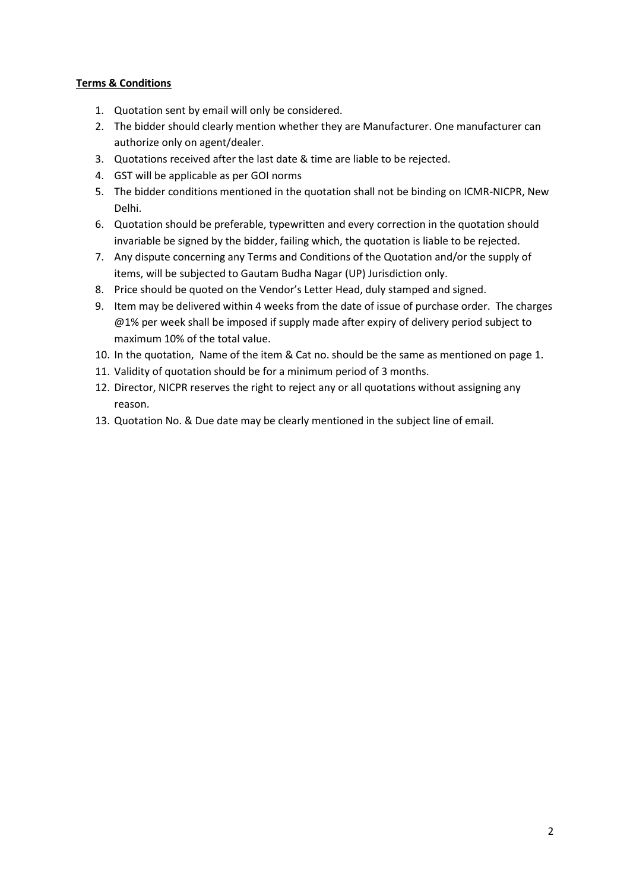#### **Terms & Conditions**

- 1. Quotation sent by email will only be considered.
- 2. The bidder should clearly mention whether they are Manufacturer. One manufacturer can authorize only on agent/dealer.
- 3. Quotations received after the last date & time are liable to be rejected.
- 4. GST will be applicable as per GOI norms
- 5. The bidder conditions mentioned in the quotation shall not be binding on ICMR-NICPR, New Delhi.
- 6. Quotation should be preferable, typewritten and every correction in the quotation should invariable be signed by the bidder, failing which, the quotation is liable to be rejected.
- 7. Any dispute concerning any Terms and Conditions of the Quotation and/or the supply of items, will be subjected to Gautam Budha Nagar (UP) Jurisdiction only.
- 8. Price should be quoted on the Vendor's Letter Head, duly stamped and signed.
- 9. Item may be delivered within 4 weeks from the date of issue of purchase order. The charges @1% per week shall be imposed if supply made after expiry of delivery period subject to maximum 10% of the total value.
- 10. In the quotation, Name of the item & Cat no. should be the same as mentioned on page 1.
- 11. Validity of quotation should be for a minimum period of 3 months.
- 12. Director, NICPR reserves the right to reject any or all quotations without assigning any reason.
- 13. Quotation No. & Due date may be clearly mentioned in the subject line of email.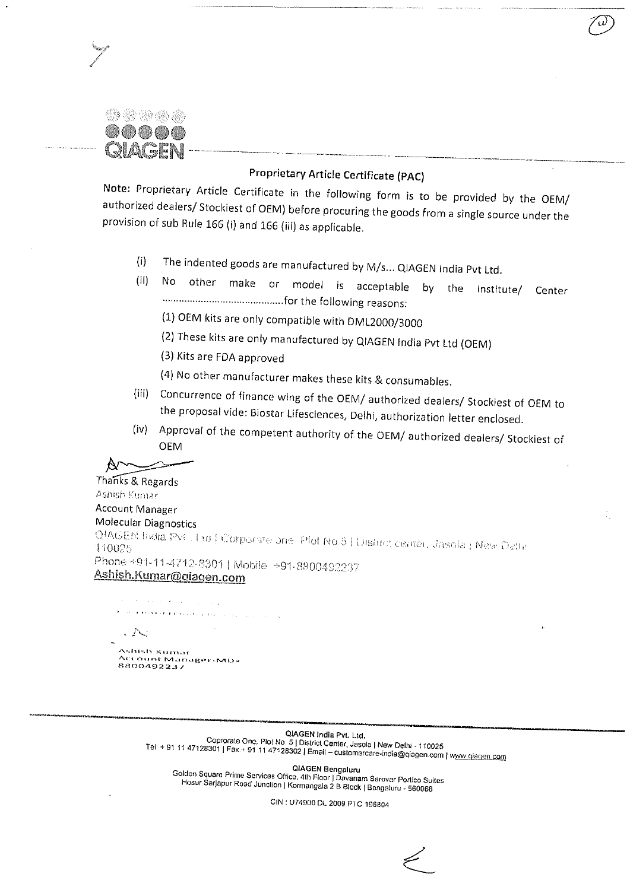30 40 49 45 40 30 (SR) (SR) (SR)

# Proprietary Article Certificate (PAC)

Note: Proprietary Article Certificate in the following form is to be provided by the OEM/ authorized dealers/ Stockiest of OEM) before procuring the goods from a single source under the provision of sub Rule 166 (i) and 166 (iii) as applicable.

- The indented goods are manufactured by M/s... QIAGEN India Pvt Ltd.  $(i)$
- other make or model is acceptable by the Institute/ Center  $(ii)$ No
	- (1) OEM kits are only compatible with DML2000/3000
	- (2) These kits are only manufactured by QIAGEN India Pvt Ltd (OEM)
	- (3) Kits are FDA approved
	- (4) No other manufacturer makes these kits & consumables.
- (iii) Concurrence of finance wing of the OEM/ authorized dealers/ Stockiest of OEM to the proposal vide: Biostar Lifesciences, Delhi, authorization letter enclosed.
- (iv) Approval of the competent authority of the OEM/ authorized dealers/ Stockiest of **OEM**

N

Thanks & Regards Ashish Kumar Account Manager Molecular Diagnostics QIAGEN India Pvt. Ltd | Corporate one: Plot No.5 | District center, Jasola | New Delhi Phone +91-11-4712-8301 | Mobile +91-8800492237 Ashish.Kumar@giagen.com

 $\mathcal{O}(2\pi\log\log n)$  , where  $\mathcal{O}(2\pi\log n)$  $\phi$  , and the expectation of the second company  $\phi$  .  $\sim$   $\sim$ Ashish kumar 

QIAGEN India Pvt. Ltd. Coprorate One, Piot No. 5 | District Center, Jasola | New Delhi - 110025 Tel: + 91 11 47128301 | Fax. + 91 11 47128302 | Email - customercare-india@giagen.com | www.giagen.com

QIAGEN Bengaluru Golden Square Prime Services Office, 4th Floor | Davanam Sarovar Portico Suites Hosur Sarjapur Road Junction | Kormangala 2 B Block | Bengaluru - 560068

CIN : U74900 DL 2009 PTC 196804